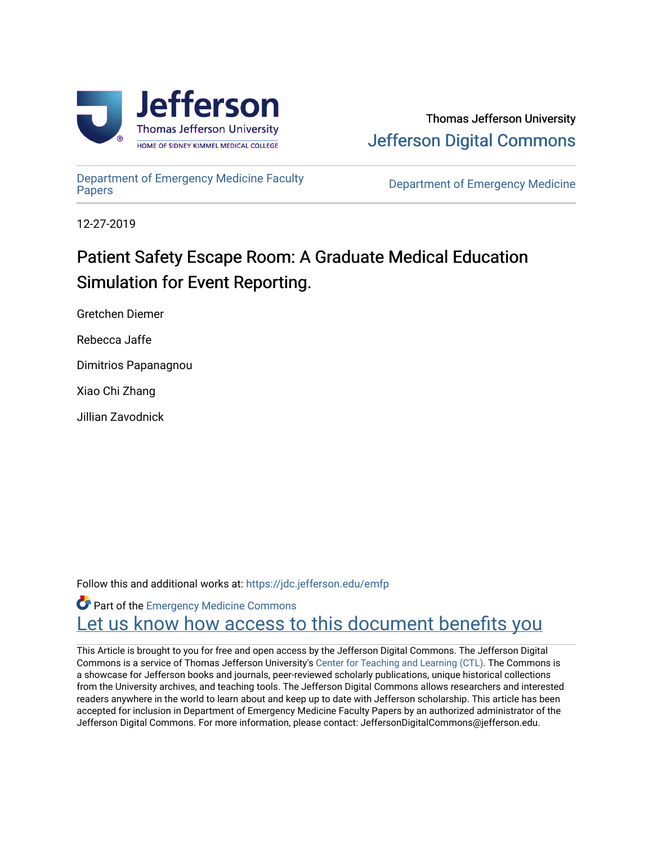

[Department of Emergency Medicine Faculty](https://jdc.jefferson.edu/emfp)

**Department of Emergency Medicine** 

12-27-2019

# Patient Safety Escape Room: A Graduate Medical Education Simulation for Event Reporting.

Gretchen Diemer

Rebecca Jaffe

Dimitrios Papanagnou

Xiao Chi Zhang

Jillian Zavodnick

Follow this and additional works at: [https://jdc.jefferson.edu/emfp](https://jdc.jefferson.edu/emfp?utm_source=jdc.jefferson.edu%2Femfp%2F176&utm_medium=PDF&utm_campaign=PDFCoverPages)

Part of the [Emergency Medicine Commons](http://network.bepress.com/hgg/discipline/685?utm_source=jdc.jefferson.edu%2Femfp%2F176&utm_medium=PDF&utm_campaign=PDFCoverPages) Let us know how access to this document benefits you

This Article is brought to you for free and open access by the Jefferson Digital Commons. The Jefferson Digital Commons is a service of Thomas Jefferson University's [Center for Teaching and Learning \(CTL\)](http://www.jefferson.edu/university/teaching-learning.html/). The Commons is a showcase for Jefferson books and journals, peer-reviewed scholarly publications, unique historical collections from the University archives, and teaching tools. The Jefferson Digital Commons allows researchers and interested readers anywhere in the world to learn about and keep up to date with Jefferson scholarship. This article has been accepted for inclusion in Department of Emergency Medicine Faculty Papers by an authorized administrator of the Jefferson Digital Commons. For more information, please contact: JeffersonDigitalCommons@jefferson.edu.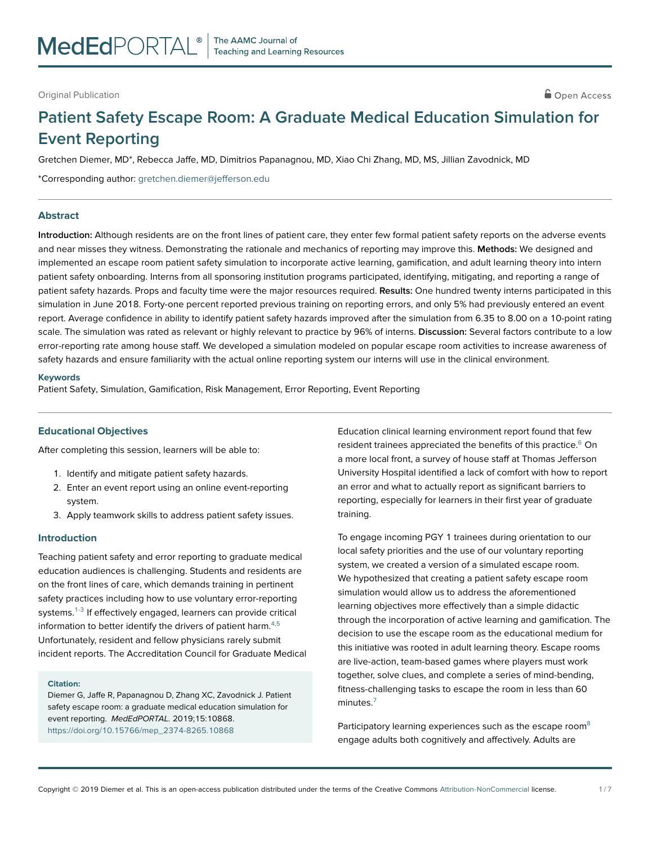# **Patient Safety Escape Room: A Graduate Medical Education Simulation for Event Reporting**

Gretchen Diemer, MD\*, Rebecca Jaffe, MD, Dimitrios Papanagnou, MD, Xiao Chi Zhang, MD, MS, Jillian Zavodnick, MD

\*Corresponding author: gretchen.diemer@jefferson.edu

#### **Abstract**

**Introduction:** Although residents are on the front lines of patient care, they enter few formal patient safety reports on the adverse events and near misses they witness. Demonstrating the rationale and mechanics of reporting may improve this. **Methods:** We designed and implemented an escape room patient safety simulation to incorporate active learning, gamification, and adult learning theory into intern patient safety onboarding. Interns from all sponsoring institution programs participated, identifying, mitigating, and reporting a range of patient safety hazards. Props and faculty time were the major resources required. **Results:** One hundred twenty interns participated in this simulation in June 2018. Forty-one percent reported previous training on reporting errors, and only 5% had previously entered an event report. Average confidence in ability to identify patient safety hazards improved after the simulation from 6.35 to 8.00 on a 10-point rating scale. The simulation was rated as relevant or highly relevant to practice by 96% of interns. **Discussion:** Several factors contribute to a low error-reporting rate among house staff. We developed a simulation modeled on popular escape room activities to increase awareness of safety hazards and ensure familiarity with the actual online reporting system our interns will use in the clinical environment.

#### **Keywords**

Patient Safety, Simulation, Gamification, Risk Management, Error Reporting, Event Reporting

#### **Educational Objectives**

After completing this session, learners will be able to:

- 1. Identify and mitigate patient safety hazards.
- 2. Enter an event report using an online event-reporting system.
- 3. Apply teamwork skills to address patient safety issues.

#### **Introduction**

Teaching patient safety and error reporting to graduate medical education audiences is challenging. Students and residents are on the front lines of care, which demands training in pertinent safety practices including how to use voluntary error-reporting systems.<sup>1-3</sup> If effectively engaged, learners can provide critical information to better identify the drivers of patient harm.<sup>4,5</sup> Unfortunately, resident and fellow physicians rarely submit incident reports. The Accreditation Council for Graduate Medical

#### **Citation:**

Diemer G, Jaffe R, Papanagnou D, Zhang XC, Zavodnick J. Patient safety escape room: a graduate medical education simulation for event reporting. MedEdPORTAL. 2019;15:10868. [https://doi.org/10.15766/mep\\_2374-8265.10868](https://doi.org/10.15766/mep_2374-8265.10868)

Education clinical learning environment report found that few resident trainees appreciated the benefits of this practice.<sup>6</sup> On a more local front, a survey of house staff at Thomas Jefferson University Hospital identified a lack of comfort with how to report an error and what to actually report as significant barriers to reporting, especially for learners in their first year of graduate training.

To engage incoming PGY 1 trainees during orientation to our local safety priorities and the use of our voluntary reporting system, we created a version of a simulated escape room. We hypothesized that creating a patient safety escape room simulation would allow us to address the aforementioned learning objectives more effectively than a simple didactic through the incorporation of active learning and gamification. The decision to use the escape room as the educational medium for this initiative was rooted in adult learning theory. Escape rooms are live-action, team-based games where players must work together, solve clues, and complete a series of mind-bending, fitness-challenging tasks to escape the room in less than 60 minutes[.7](#page-7-0)

Participatory learning experiences such as the escape room<sup>8</sup> engage adults both cognitively and affectively. Adults are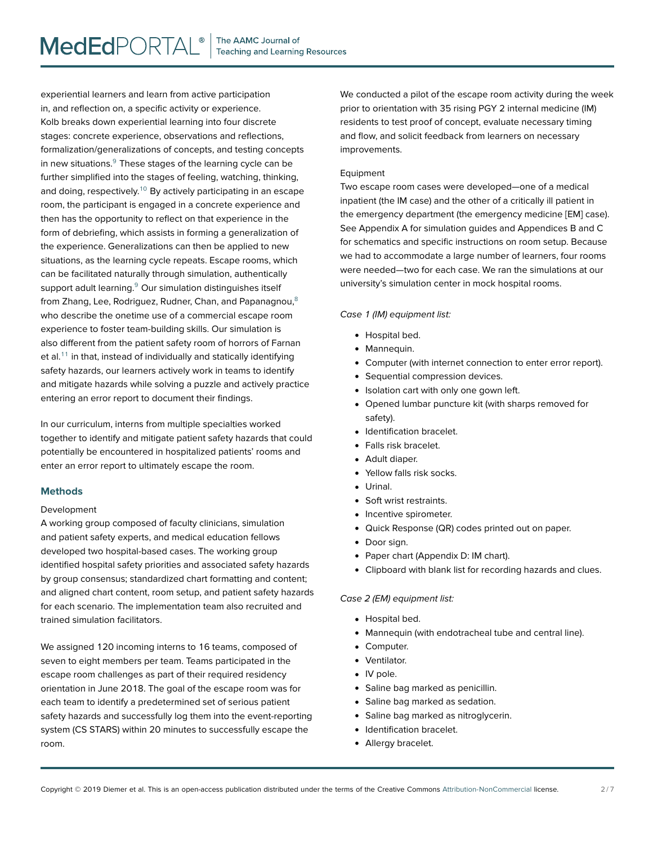experiential learners and learn from active participation in, and reflection on, a specific activity or experience. Kolb breaks down experiential learning into four discrete stages: concrete experience, observations and reflections, formalization/generalizations of concepts, and testing concepts in new situations.<sup>9</sup> These stages of the learning cycle can be further simplified into the stages of feeling, watching, thinking, and doing, respectively.<sup>10</sup> By actively participating in an escape room, the participant is engaged in a concrete experience and then has the opportunity to reflect on that experience in the form of debriefing, which assists in forming a generalization of the experience. Generalizations can then be applied to new situations, as the learning cycle repeats. Escape rooms, which can be facilitated naturally through simulation, authentically support adult learning.<sup>9</sup> Our simulation distinguishes itself from Zhang, Lee, Rodriguez, Rudner, Chan, and Papanagnou,<sup>8</sup> who describe the onetime use of a commercial escape room experience to foster team-building skills. Our simulation is also different from the patient safety room of horrors of Farnan et al. $11$  in that, instead of individually and statically identifying safety hazards, our learners actively work in teams to identify and mitigate hazards while solving a puzzle and actively practice entering an error report to document their findings.

In our curriculum, interns from multiple specialties worked together to identify and mitigate patient safety hazards that could potentially be encountered in hospitalized patients' rooms and enter an error report to ultimately escape the room.

# **Methods**

#### Development

A working group composed of faculty clinicians, simulation and patient safety experts, and medical education fellows developed two hospital-based cases. The working group identified hospital safety priorities and associated safety hazards by group consensus; standardized chart formatting and content; and aligned chart content, room setup, and patient safety hazards for each scenario. The implementation team also recruited and trained simulation facilitators.

We assigned 120 incoming interns to 16 teams, composed of seven to eight members per team. Teams participated in the escape room challenges as part of their required residency orientation in June 2018. The goal of the escape room was for each team to identify a predetermined set of serious patient safety hazards and successfully log them into the event-reporting system (CS STARS) within 20 minutes to successfully escape the room.

We conducted a pilot of the escape room activity during the week prior to orientation with 35 rising PGY 2 internal medicine (IM) residents to test proof of concept, evaluate necessary timing and flow, and solicit feedback from learners on necessary improvements.

#### Equipment

Two escape room cases were developed—one of a medical inpatient (the IM case) and the other of a critically ill patient in the emergency department (the emergency medicine [EM] case). See Appendix A for simulation guides and Appendices B and C for schematics and specific instructions on room setup. Because we had to accommodate a large number of learners, four rooms were needed—two for each case. We ran the simulations at our university's simulation center in mock hospital rooms.

# Case 1 (IM) equipment list:

- Hospital bed.
- Mannequin.
- Computer (with internet connection to enter error report).
- Sequential compression devices.
- Isolation cart with only one gown left.
- Opened lumbar puncture kit (with sharps removed for safety).
- Identification bracelet.
- Falls risk bracelet.
- Adult diaper.
- -Yellow falls risk socks.
- Urinal.
- Soft wrist restraints.
- Incentive spirometer.
- Quick Response (QR) codes printed out on paper.
- Door sign.
- Paper chart (Appendix D: IM chart).
- Clipboard with blank list for recording hazards and clues.

#### Case 2 (EM) equipment list:

- Hospital bed.
- Mannequin (with endotracheal tube and central line).
- Computer.
- Ventilator.
- IV pole.
- Saline bag marked as penicillin.
- Saline bag marked as sedation.
- Saline bag marked as nitroglycerin.
- Identification bracelet.
- Allergy bracelet.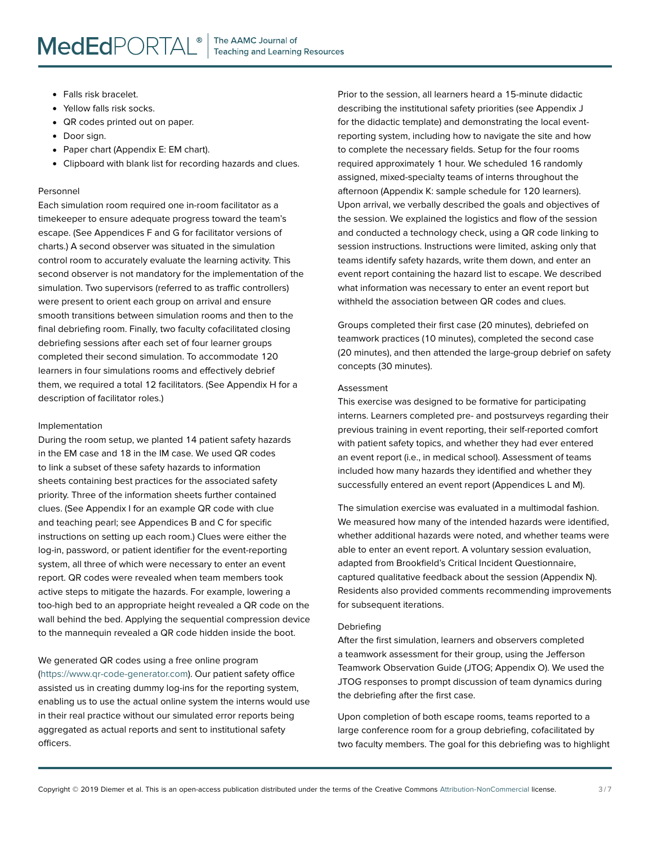- Falls risk bracelet.
- Yellow falls risk socks.
- QR codes printed out on paper.
- Door sign.
- Paper chart (Appendix E: EM chart).
- Clipboard with blank list for recording hazards and clues.

#### Personnel

Each simulation room required one in-room facilitator as a timekeeper to ensure adequate progress toward the team's escape. (See Appendices F and G for facilitator versions of charts.) A second observer was situated in the simulation control room to accurately evaluate the learning activity. This second observer is not mandatory for the implementation of the simulation. Two supervisors (referred to as traffic controllers) were present to orient each group on arrival and ensure smooth transitions between simulation rooms and then to the final debriefing room. Finally, two faculty cofacilitated closing debriefing sessions after each set of four learner groups completed their second simulation. To accommodate 120 learners in four simulations rooms and effectively debrief them, we required a total 12 facilitators. (See Appendix H for a description of facilitator roles.)

# Implementation

During the room setup, we planted 14 patient safety hazards in the EM case and 18 in the IM case. We used QR codes to link a subset of these safety hazards to information sheets containing best practices for the associated safety priority. Three of the information sheets further contained clues. (See Appendix I for an example QR code with clue and teaching pearl; see Appendices B and C for specific instructions on setting up each room.) Clues were either the log-in, password, or patient identifier for the event-reporting system, all three of which were necessary to enter an event report. QR codes were revealed when team members took active steps to mitigate the hazards. For example, lowering a too-high bed to an appropriate height revealed a QR code on the wall behind the bed. Applying the sequential compression device to the mannequin revealed a QR code hidden inside the boot.

We generated QR codes using a free online program [\(https://www.qr-code-generator.com\)](https://www.qr-code-generator.com). Our patient safety office assisted us in creating dummy log-ins for the reporting system, enabling us to use the actual online system the interns would use in their real practice without our simulated error reports being aggregated as actual reports and sent to institutional safety officers.

Prior to the session, all learners heard a 15-minute didactic describing the institutional safety priorities (see Appendix J for the didactic template) and demonstrating the local eventreporting system, including how to navigate the site and how to complete the necessary fields. Setup for the four rooms required approximately 1 hour. We scheduled 16 randomly assigned, mixed-specialty teams of interns throughout the afternoon (Appendix K: sample schedule for 120 learners). Upon arrival, we verbally described the goals and objectives of the session. We explained the logistics and flow of the session and conducted a technology check, using a QR code linking to session instructions. Instructions were limited, asking only that teams identify safety hazards, write them down, and enter an event report containing the hazard list to escape. We described what information was necessary to enter an event report but withheld the association between QR codes and clues.

Groups completed their first case (20 minutes), debriefed on teamwork practices (10 minutes), completed the second case (20 minutes), and then attended the large-group debrief on safety concepts (30 minutes).

# Assessment

This exercise was designed to be formative for participating interns. Learners completed pre- and postsurveys regarding their previous training in event reporting, their self-reported comfort with patient safety topics, and whether they had ever entered an event report (i.e., in medical school). Assessment of teams included how many hazards they identified and whether they successfully entered an event report (Appendices L and M).

The simulation exercise was evaluated in a multimodal fashion. We measured how many of the intended hazards were identified, whether additional hazards were noted, and whether teams were able to enter an event report. A voluntary session evaluation, adapted from Brookfield's Critical Incident Questionnaire, captured qualitative feedback about the session (Appendix N). Residents also provided comments recommending improvements for subsequent iterations.

#### Debriefing

After the first simulation, learners and observers completed a teamwork assessment for their group, using the Jefferson Teamwork Observation Guide (JTOG; Appendix O). We used the JTOG responses to prompt discussion of team dynamics during the debriefing after the first case.

Upon completion of both escape rooms, teams reported to a large conference room for a group debriefing, cofacilitated by two faculty members. The goal for this debriefing was to highlight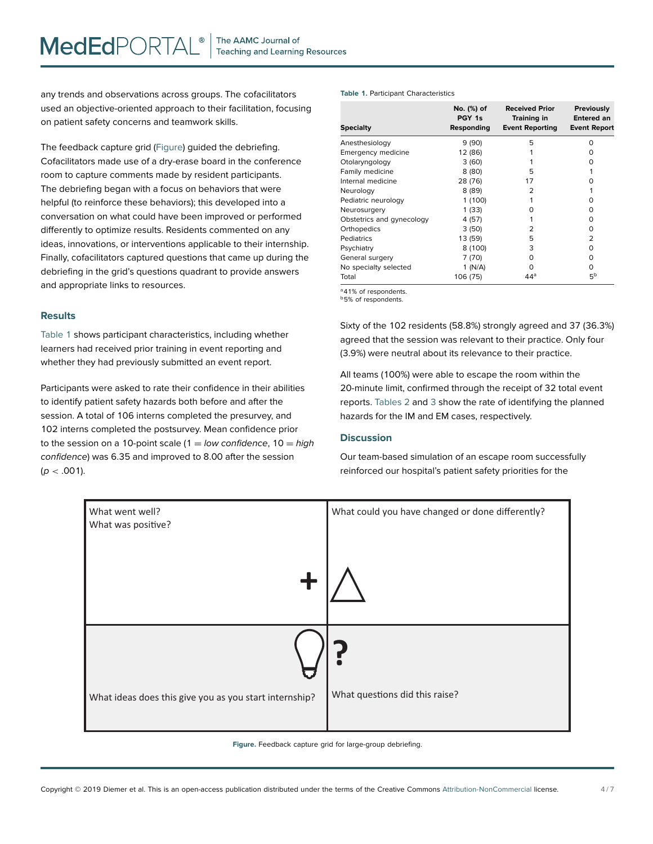any trends and observations across groups. The cofacilitators used an objective-oriented approach to their facilitation, focusing on patient safety concerns and teamwork skills.

The feedback capture grid (Figure) guided the debriefing. Cofacilitators made use of a dry-erase board in the conference room to capture comments made by resident participants. The debriefing began with a focus on behaviors that were helpful (to reinforce these behaviors); this developed into a conversation on what could have been improved or performed differently to optimize results. Residents commented on any ideas, innovations, or interventions applicable to their internship. Finally, cofacilitators captured questions that came up during the debriefing in the grid's questions quadrant to provide answers and appropriate links to resources.

# **Results**

Table 1 shows participant characteristics, including whether learners had received prior training in event reporting and whether they had previously submitted an event report.

Participants were asked to rate their confidence in their abilities to identify patient safety hazards both before and after the session. A total of 106 interns completed the presurvey, and 102 interns completed the postsurvey. Mean confidence prior to the session on a 10-point scale (1 = low confidence,  $10 = high$ confidence) was 6.35 and improved to 8.00 after the session  $(p < .001)$ .

#### **Table 1.** Participant Characteristics

| <b>Specialty</b>          | No. (%) of<br>PGY 1s<br>Responding | <b>Received Prior</b><br><b>Training in</b><br><b>Event Reporting</b> | <b>Previously</b><br>Entered an<br><b>Event Report</b> |
|---------------------------|------------------------------------|-----------------------------------------------------------------------|--------------------------------------------------------|
| Anesthesiology            | 9(90)                              | 5                                                                     | n                                                      |
| Emergency medicine        | 12 (86)                            |                                                                       |                                                        |
| Otolaryngology            | 3(60)                              |                                                                       |                                                        |
| Family medicine           | 8(80)                              | 5                                                                     |                                                        |
| Internal medicine         | 28 (76)                            | 17                                                                    |                                                        |
| Neurology                 | 8(89)                              | 2                                                                     |                                                        |
| Pediatric neurology       | 1(100)                             |                                                                       |                                                        |
| Neurosurgery              | 1(33)                              |                                                                       |                                                        |
| Obstetrics and gynecology | 4 (57)                             |                                                                       |                                                        |
| Orthopedics               | 3(50)                              | フ                                                                     | 0                                                      |
| Pediatrics                | 13 (59)                            | 5                                                                     | っ                                                      |
| Psychiatry                | 8 (100)                            | 3                                                                     | ი                                                      |
| General surgery           | 7 (70)                             | O                                                                     | ი                                                      |
| No specialty selected     | 1(N/A)                             | O                                                                     | ი                                                      |
| Total                     | 106 (75)                           | $44^a$                                                                | 5b                                                     |

<sup>a</sup>41% of respondents.

<sup>b</sup>5% of respondents.

Sixty of the 102 residents (58.8%) strongly agreed and 37 (36.3%) agreed that the session was relevant to their practice. Only four (3.9%) were neutral about its relevance to their practice.

All teams (100%) were able to escape the room within the 20-minute limit, confirmed through the receipt of 32 total event reports. [Tables 2](#page-5-0) and [3](#page-5-0) show the rate of identifying the planned hazards for the IM and EM cases, respectively.

# **Discussion**

Our team-based simulation of an escape room successfully reinforced our hospital's patient safety priorities for the



**Figure.** Feedback capture grid for large-group debriefing.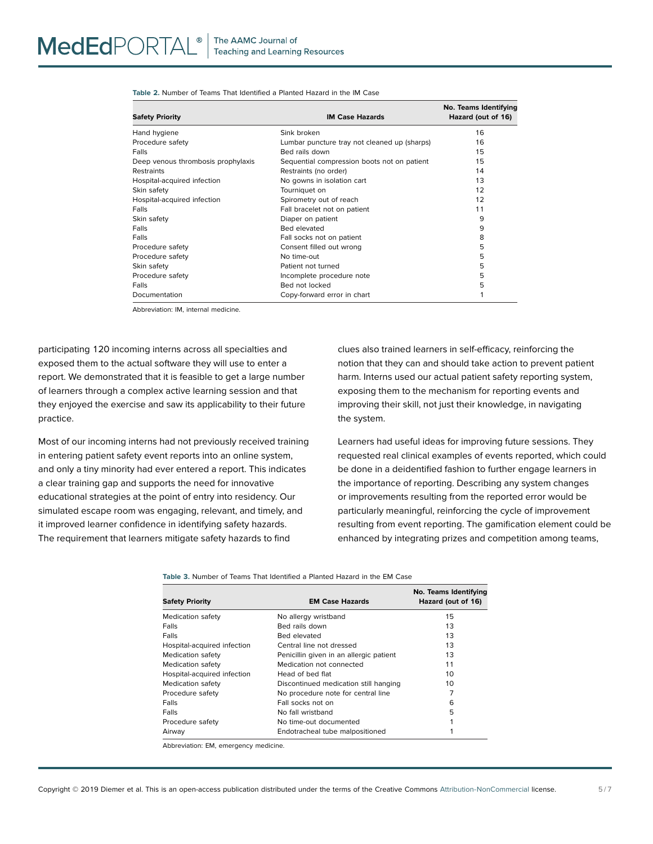<span id="page-5-0"></span>

| <b>Table 2.</b> Number of Teams That Identified a Planted Hazard in the IM Case |  |
|---------------------------------------------------------------------------------|--|
|---------------------------------------------------------------------------------|--|

| <b>Safety Priority</b>             | <b>IM Case Hazards</b>                       | No. Teams Identifying<br>Hazard (out of 16) |
|------------------------------------|----------------------------------------------|---------------------------------------------|
| Hand hygiene                       | Sink broken                                  | 16                                          |
| Procedure safety                   | Lumbar puncture tray not cleaned up (sharps) | 16                                          |
| Falls                              | Bed rails down                               | 15                                          |
| Deep venous thrombosis prophylaxis | Sequential compression boots not on patient  | 15                                          |
| <b>Restraints</b>                  | Restraints (no order)                        | 14                                          |
| Hospital-acquired infection        | No gowns in isolation cart                   | 13                                          |
| Skin safety                        | Tourniquet on                                | 12                                          |
| Hospital-acquired infection        | Spirometry out of reach                      | 12                                          |
| Falls                              | Fall bracelet not on patient                 | 11                                          |
| Skin safety                        | Diaper on patient                            | 9                                           |
| Falls                              | Bed elevated                                 | 9                                           |
| Falls                              | Fall socks not on patient                    | 8                                           |
| Procedure safety                   | Consent filled out wrong                     | 5                                           |
| Procedure safety                   | No time-out                                  | 5                                           |
| Skin safety                        | Patient not turned                           | 5                                           |
| Procedure safety                   | Incomplete procedure note                    | 5                                           |
| Falls                              | Bed not locked                               | 5                                           |
| Documentation                      | Copy-forward error in chart                  |                                             |

Abbreviation: IM, internal medicine.

participating 120 incoming interns across all specialties and exposed them to the actual software they will use to enter a report. We demonstrated that it is feasible to get a large number of learners through a complex active learning session and that they enjoyed the exercise and saw its applicability to their future practice.

Most of our incoming interns had not previously received training in entering patient safety event reports into an online system, and only a tiny minority had ever entered a report. This indicates a clear training gap and supports the need for innovative educational strategies at the point of entry into residency. Our simulated escape room was engaging, relevant, and timely, and it improved learner confidence in identifying safety hazards. The requirement that learners mitigate safety hazards to find

clues also trained learners in self-efficacy, reinforcing the notion that they can and should take action to prevent patient harm. Interns used our actual patient safety reporting system, exposing them to the mechanism for reporting events and improving their skill, not just their knowledge, in navigating the system.

Learners had useful ideas for improving future sessions. They requested real clinical examples of events reported, which could be done in a deidentified fashion to further engage learners in the importance of reporting. Describing any system changes or improvements resulting from the reported error would be particularly meaningful, reinforcing the cycle of improvement resulting from event reporting. The gamification element could be enhanced by integrating prizes and competition among teams,

**Table 3.** Number of Teams That Identified a Planted Hazard in the EM Case

| <b>Safety Priority</b>      | <b>EM Case Hazards</b>                  | No. Teams Identifying<br>Hazard (out of 16) |
|-----------------------------|-----------------------------------------|---------------------------------------------|
| Medication safety           | No allergy wristband                    | 15                                          |
| Falls                       | <b>Bed rails down</b>                   | 13                                          |
| Falls                       | <b>Bed elevated</b>                     | 13                                          |
| Hospital-acquired infection | Central line not dressed                | 13                                          |
| Medication safety           | Penicillin given in an allergic patient | 13                                          |
| Medication safety           | Medication not connected                | 11                                          |
| Hospital-acquired infection | Head of bed flat                        | 10                                          |
| Medication safety           | Discontinued medication still hanging   | 10                                          |
| Procedure safety            | No procedure note for central line      |                                             |
| Falls                       | Fall socks not on                       | 6                                           |
| Falls                       | No fall wristband                       | 5                                           |
| Procedure safety            | No time-out documented                  |                                             |
| Airway                      | Endotracheal tube malpositioned         |                                             |

Abbreviation: EM, emergency medicine.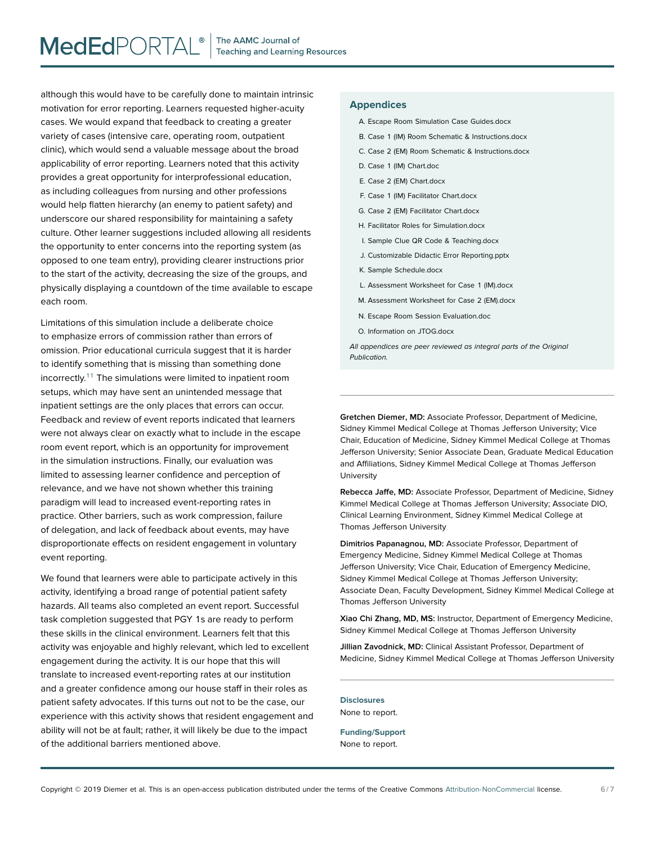although this would have to be carefully done to maintain intrinsic motivation for error reporting. Learners requested higher-acuity cases. We would expand that feedback to creating a greater variety of cases (intensive care, operating room, outpatient clinic), which would send a valuable message about the broad applicability of error reporting. Learners noted that this activity provides a great opportunity for interprofessional education, as including colleagues from nursing and other professions would help flatten hierarchy (an enemy to patient safety) and underscore our shared responsibility for maintaining a safety culture. Other learner suggestions included allowing all residents the opportunity to enter concerns into the reporting system (as opposed to one team entry), providing clearer instructions prior to the start of the activity, decreasing the size of the groups, and physically displaying a countdown of the time available to escape each room.

Limitations of this simulation include a deliberate choice to emphasize errors of commission rather than errors of omission. Prior educational curricula suggest that it is harder to identify something that is missing than something done incorrectly.[11](#page-7-0) The simulations were limited to inpatient room setups, which may have sent an unintended message that inpatient settings are the only places that errors can occur. Feedback and review of event reports indicated that learners were not always clear on exactly what to include in the escape room event report, which is an opportunity for improvement in the simulation instructions. Finally, our evaluation was limited to assessing learner confidence and perception of relevance, and we have not shown whether this training paradigm will lead to increased event-reporting rates in practice. Other barriers, such as work compression, failure of delegation, and lack of feedback about events, may have disproportionate effects on resident engagement in voluntary event reporting.

We found that learners were able to participate actively in this activity, identifying a broad range of potential patient safety hazards. All teams also completed an event report. Successful task completion suggested that PGY 1s are ready to perform these skills in the clinical environment. Learners felt that this activity was enjoyable and highly relevant, which led to excellent engagement during the activity. It is our hope that this will translate to increased event-reporting rates at our institution and a greater confidence among our house staff in their roles as patient safety advocates. If this turns out not to be the case, our experience with this activity shows that resident engagement and ability will not be at fault; rather, it will likely be due to the impact of the additional barriers mentioned above.

# **Appendices**

- A. Escape Room Simulation Case Guides.docx
- B. Case 1 (IM) Room Schematic & Instructions.docx
- C. Case 2 (EM) Room Schematic & Instructions.docx
- D. Case 1 (IM) Chart.doc
- E. Case 2 (EM) Chart.docx
- F. Case 1 (IM) Facilitator Chart.docx
- G. Case 2 (EM) Facilitator Chart.docx
- H. Facilitator Roles for Simulation.docx
- I. Sample Clue QR Code & Teaching.docx
- J. Customizable Didactic Error Reporting.pptx
- K. Sample Schedule.docx
- L. Assessment Worksheet for Case 1 (IM).docx
- M. Assessment Worksheet for Case 2 (EM).docx
- N. Escape Room Session Evaluation.doc
- O. Information on JTOG.docx

All appendices are peer reviewed as integral parts of the Original Publication.

**Gretchen Diemer, MD:** Associate Professor, Department of Medicine, Sidney Kimmel Medical College at Thomas Jefferson University; Vice Chair, Education of Medicine, Sidney Kimmel Medical College at Thomas Jefferson University; Senior Associate Dean, Graduate Medical Education and Affiliations, Sidney Kimmel Medical College at Thomas Jefferson University

**Rebecca Jaffe, MD:** Associate Professor, Department of Medicine, Sidney Kimmel Medical College at Thomas Jefferson University; Associate DIO, Clinical Learning Environment, Sidney Kimmel Medical College at Thomas Jefferson University

**Dimitrios Papanagnou, MD:** Associate Professor, Department of Emergency Medicine, Sidney Kimmel Medical College at Thomas Jefferson University; Vice Chair, Education of Emergency Medicine, Sidney Kimmel Medical College at Thomas Jefferson University; Associate Dean, Faculty Development, Sidney Kimmel Medical College at Thomas Jefferson University

**Xiao Chi Zhang, MD, MS:** Instructor, Department of Emergency Medicine, Sidney Kimmel Medical College at Thomas Jefferson University

**Jillian Zavodnick, MD:** Clinical Assistant Professor, Department of Medicine, Sidney Kimmel Medical College at Thomas Jefferson University

**Disclosures** None to report.

**Funding/Support** None to report.